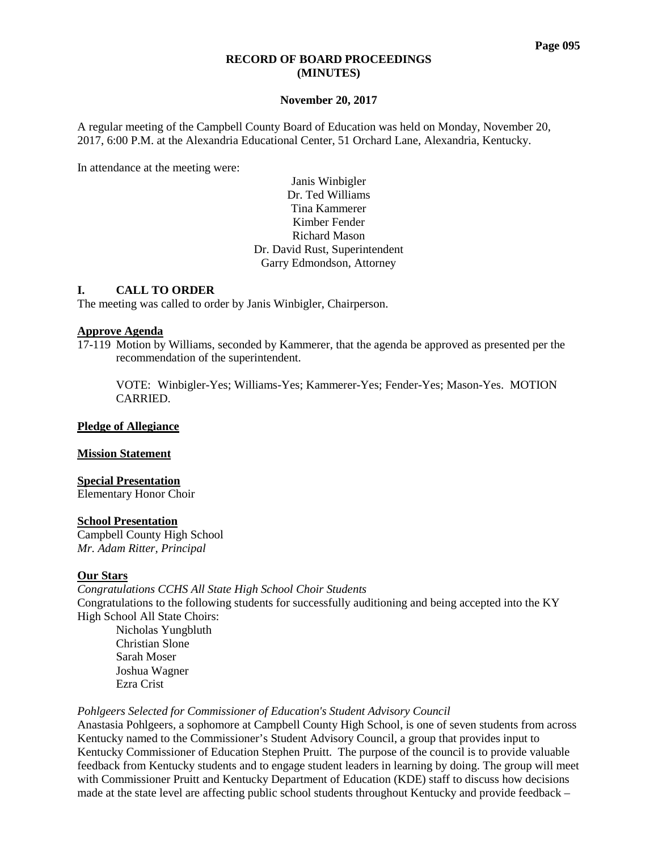#### **RECORD OF BOARD PROCEEDINGS (MINUTES)**

### **November 20, 2017**

A regular meeting of the Campbell County Board of Education was held on Monday, November 20, 2017, 6:00 P.M. at the Alexandria Educational Center, 51 Orchard Lane, Alexandria, Kentucky.

In attendance at the meeting were:

Janis Winbigler Dr. Ted Williams Tina Kammerer Kimber Fender Richard Mason Dr. David Rust, Superintendent Garry Edmondson, Attorney

### **I. CALL TO ORDER**

The meeting was called to order by Janis Winbigler, Chairperson.

### **Approve Agenda**

17-119 Motion by Williams, seconded by Kammerer, that the agenda be approved as presented per the recommendation of the superintendent.

VOTE: Winbigler-Yes; Williams-Yes; Kammerer-Yes; Fender-Yes; Mason-Yes. MOTION CARRIED.

### **Pledge of Allegiance**

#### **Mission Statement**

# **Special Presentation**

Elementary Honor Choir

#### **School Presentation**

Campbell County High School *Mr. Adam Ritter, Principal*

# **Our Stars**

*Congratulations CCHS All State High School Choir Students*  Congratulations to the following students for successfully auditioning and being accepted into the KY High School All State Choirs: Nicholas Yungbluth Christian Slone Sarah Moser Joshua Wagner Ezra Crist

#### *Pohlgeers Selected for Commissioner of Education's Student Advisory Council*

Anastasia Pohlgeers, a sophomore at Campbell County High School, is one of seven students from across Kentucky named to the Commissioner's Student Advisory Council, a group that provides input to Kentucky Commissioner of Education Stephen Pruitt. The purpose of the council is to provide valuable feedback from Kentucky students and to engage student leaders in learning by doing. The group will meet with Commissioner Pruitt and Kentucky Department of Education (KDE) staff to discuss how decisions made at the state level are affecting public school students throughout Kentucky and provide feedback –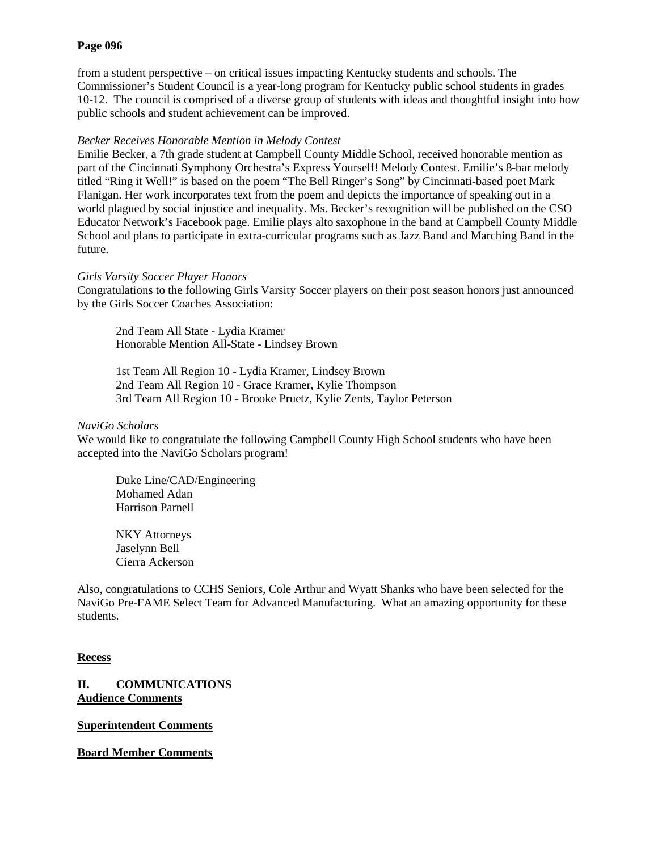### **Page 096**

from a student perspective – on critical issues impacting Kentucky students and schools. The Commissioner's Student Council is a year-long program for Kentucky public school students in grades 10-12. The council is comprised of a diverse group of students with ideas and thoughtful insight into how public schools and student achievement can be improved.

### *Becker Receives Honorable Mention in Melody Contest*

Emilie Becker, a 7th grade student at Campbell County Middle School, received honorable mention as part of the Cincinnati Symphony Orchestra's Express Yourself! Melody Contest. Emilie's 8-bar melody titled "Ring it Well!" is based on the poem "The Bell Ringer's Song" by Cincinnati-based poet Mark Flanigan. Her work incorporates text from the poem and depicts the importance of speaking out in a world plagued by social injustice and inequality. Ms. Becker's recognition will be published on the CSO Educator Network's Facebook page. Emilie plays alto saxophone in the band at Campbell County Middle School and plans to participate in extra-curricular programs such as Jazz Band and Marching Band in the future.

### *Girls Varsity Soccer Player Honors*

Congratulations to the following Girls Varsity Soccer players on their post season honors just announced by the Girls Soccer Coaches Association:

2nd Team All State - Lydia Kramer Honorable Mention All-State - Lindsey Brown

1st Team All Region 10 - Lydia Kramer, Lindsey Brown 2nd Team All Region 10 - Grace Kramer, Kylie Thompson 3rd Team All Region 10 - Brooke Pruetz, Kylie Zents, Taylor Peterson

### *NaviGo Scholars*

We would like to congratulate the following Campbell County High School students who have been accepted into the NaviGo Scholars program!

Duke Line/CAD/Engineering Mohamed Adan Harrison Parnell

NKY Attorneys Jaselynn Bell Cierra Ackerson

Also, congratulations to CCHS Seniors, Cole Arthur and Wyatt Shanks who have been selected for the NaviGo Pre-FAME Select Team for Advanced Manufacturing. What an amazing opportunity for these students.

# **Recess**

**II. COMMUNICATIONS Audience Comments**

**Superintendent Comments**

**Board Member Comments**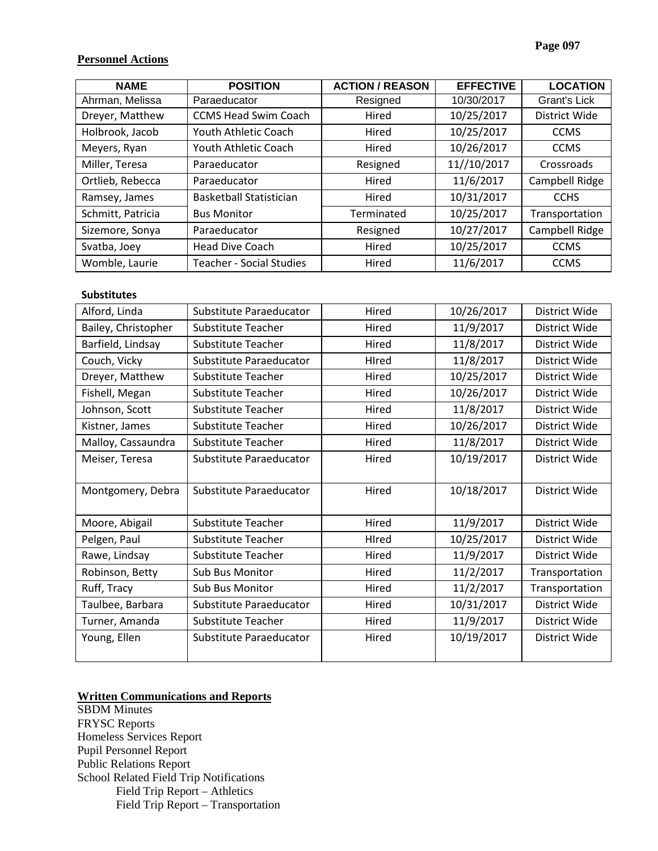# **Personnel Actions**

| <b>NAME</b>       | <b>POSITION</b>                 | <b>ACTION / REASON</b> | <b>EFFECTIVE</b> | <b>LOCATION</b> |
|-------------------|---------------------------------|------------------------|------------------|-----------------|
| Ahrman, Melissa   | Paraeducator                    | Resigned               | 10/30/2017       | Grant's Lick    |
| Dreyer, Matthew   | <b>CCMS Head Swim Coach</b>     | Hired                  | 10/25/2017       | District Wide   |
| Holbrook, Jacob   | Youth Athletic Coach            | Hired                  | 10/25/2017       | <b>CCMS</b>     |
| Meyers, Ryan      | Youth Athletic Coach            | Hired                  | 10/26/2017       | <b>CCMS</b>     |
| Miller, Teresa    | Paraeducator                    | Resigned               | 11//10/2017      | Crossroads      |
| Ortlieb, Rebecca  | Paraeducator                    | Hired                  | 11/6/2017        | Campbell Ridge  |
| Ramsey, James     | <b>Basketball Statistician</b>  | Hired                  | 10/31/2017       | <b>CCHS</b>     |
| Schmitt, Patricia | <b>Bus Monitor</b>              | Terminated             | 10/25/2017       | Transportation  |
| Sizemore, Sonya   | Paraeducator                    | Resigned               | 10/27/2017       | Campbell Ridge  |
| Svatba, Joey      | <b>Head Dive Coach</b>          | Hired                  | 10/25/2017       | <b>CCMS</b>     |
| Womble, Laurie    | <b>Teacher - Social Studies</b> | Hired                  | 11/6/2017        | <b>CCMS</b>     |

# **Substitutes**

| Alford, Linda       | Substitute Paraeducator   | Hired | 10/26/2017 | District Wide  |
|---------------------|---------------------------|-------|------------|----------------|
| Bailey, Christopher | Substitute Teacher        | Hired | 11/9/2017  | District Wide  |
| Barfield, Lindsay   | <b>Substitute Teacher</b> | Hired | 11/8/2017  | District Wide  |
| Couch, Vicky        | Substitute Paraeducator   | HIred | 11/8/2017  | District Wide  |
| Dreyer, Matthew     | Substitute Teacher        | Hired | 10/25/2017 | District Wide  |
| Fishell, Megan      | <b>Substitute Teacher</b> | Hired | 10/26/2017 | District Wide  |
| Johnson, Scott      | <b>Substitute Teacher</b> | Hired | 11/8/2017  | District Wide  |
| Kistner, James      | <b>Substitute Teacher</b> | Hired | 10/26/2017 | District Wide  |
| Malloy, Cassaundra  | Substitute Teacher        | Hired | 11/8/2017  | District Wide  |
| Meiser, Teresa      | Substitute Paraeducator   | Hired | 10/19/2017 | District Wide  |
|                     |                           |       |            |                |
| Montgomery, Debra   | Substitute Paraeducator   | Hired | 10/18/2017 | District Wide  |
|                     |                           |       |            |                |
| Moore, Abigail      | Substitute Teacher        | Hired | 11/9/2017  | District Wide  |
| Pelgen, Paul        | Substitute Teacher        | HIred | 10/25/2017 | District Wide  |
| Rawe, Lindsay       | <b>Substitute Teacher</b> | Hired | 11/9/2017  | District Wide  |
| Robinson, Betty     | Sub Bus Monitor           | Hired | 11/2/2017  | Transportation |
| Ruff, Tracy         | <b>Sub Bus Monitor</b>    | Hired | 11/2/2017  | Transportation |
| Taulbee, Barbara    | Substitute Paraeducator   | Hired | 10/31/2017 | District Wide  |
| Turner, Amanda      | <b>Substitute Teacher</b> | Hired | 11/9/2017  | District Wide  |
| Young, Ellen        | Substitute Paraeducator   | Hired | 10/19/2017 | District Wide  |
|                     |                           |       |            |                |

# **Written Communications and Reports**

SBDM Minutes FRYSC Reports Homeless Services Report Pupil Personnel Report Public Relations Report School Related Field Trip Notifications Field Trip Report – Athletics Field Trip Report – Transportation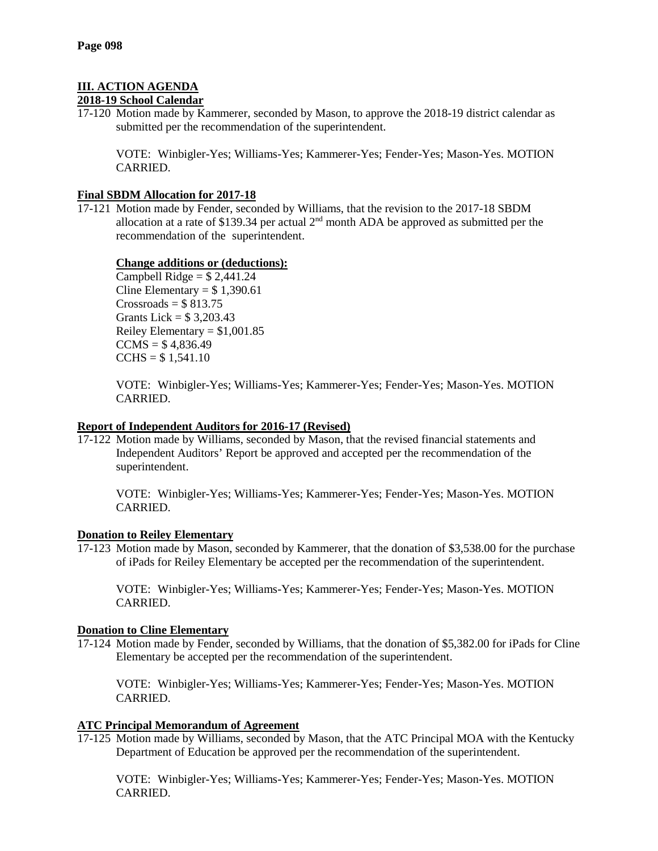# **III. ACTION AGENDA**

# **2018-19 School Calendar**

17-120 Motion made by Kammerer, seconded by Mason, to approve the 2018-19 district calendar as submitted per the recommendation of the superintendent.

VOTE: Winbigler-Yes; Williams-Yes; Kammerer-Yes; Fender-Yes; Mason-Yes. MOTION CARRIED.

# **Final SBDM Allocation for 2017-18**

17-121 Motion made by Fender, seconded by Williams, that the revision to the 2017-18 SBDM allocation at a rate of \$139.34 per actual  $2<sup>nd</sup>$  month ADA be approved as submitted per the recommendation of the superintendent.

# **Change additions or (deductions):**

Campbell Ridge  $= $2,441.24$ Cline Elementary =  $$1,390.61$  $Crossroads = $813.75$ Grants Lick =  $$3,203.43$ Reiley Elementary =  $$1,001.85$  $CCMS = $4,836.49$  $CCHS = $ 1,541.10$ 

VOTE: Winbigler-Yes; Williams-Yes; Kammerer-Yes; Fender-Yes; Mason-Yes. MOTION CARRIED.

# **Report of Independent Auditors for 2016-17 (Revised)**

17-122 Motion made by Williams, seconded by Mason, that the revised financial statements and Independent Auditors' Report be approved and accepted per the recommendation of the superintendent.

VOTE: Winbigler-Yes; Williams-Yes; Kammerer-Yes; Fender-Yes; Mason-Yes. MOTION CARRIED.

# **Donation to Reiley Elementary**

17-123 Motion made by Mason, seconded by Kammerer, that the donation of \$3,538.00 for the purchase of iPads for Reiley Elementary be accepted per the recommendation of the superintendent.

VOTE: Winbigler-Yes; Williams-Yes; Kammerer-Yes; Fender-Yes; Mason-Yes. MOTION CARRIED.

# **Donation to Cline Elementary**

17-124 Motion made by Fender, seconded by Williams, that the donation of \$5,382.00 for iPads for Cline Elementary be accepted per the recommendation of the superintendent.

VOTE: Winbigler-Yes; Williams-Yes; Kammerer-Yes; Fender-Yes; Mason-Yes. MOTION CARRIED.

# **ATC Principal Memorandum of Agreement**

17-125 Motion made by Williams, seconded by Mason, that the ATC Principal MOA with the Kentucky Department of Education be approved per the recommendation of the superintendent.

VOTE: Winbigler-Yes; Williams-Yes; Kammerer-Yes; Fender-Yes; Mason-Yes. MOTION CARRIED.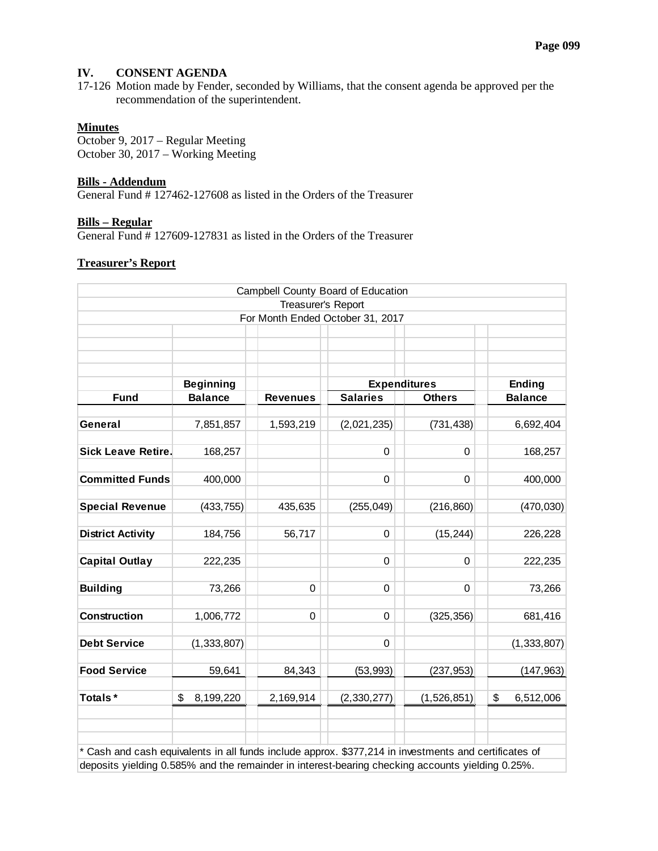# **IV. CONSENT AGENDA**

17-126 Motion made by Fender, seconded by Williams, that the consent agenda be approved per the recommendation of the superintendent.

# **Minutes**

October 9, 2017 – Regular Meeting October 30, 2017 – Working Meeting

#### **Bills - Addendum**

General Fund # 127462-127608 as listed in the Orders of the Treasurer

#### **Bills – Regular**

General Fund # 127609-127831 as listed in the Orders of the Treasurer

### **Treasurer's Report**

|                                                                                                     |                  |                    | Campbell County Board of Education |               |                 |  |
|-----------------------------------------------------------------------------------------------------|------------------|--------------------|------------------------------------|---------------|-----------------|--|
|                                                                                                     |                  | Treasurer's Report | For Month Ended October 31, 2017   |               |                 |  |
|                                                                                                     |                  |                    |                                    |               |                 |  |
|                                                                                                     |                  |                    |                                    |               |                 |  |
|                                                                                                     |                  |                    |                                    |               |                 |  |
|                                                                                                     | <b>Beginning</b> |                    | <b>Expenditures</b>                |               | <b>Ending</b>   |  |
| <b>Fund</b>                                                                                         | <b>Balance</b>   | <b>Revenues</b>    | <b>Salaries</b>                    | <b>Others</b> | <b>Balance</b>  |  |
| General                                                                                             | 7,851,857        | 1,593,219          | (2,021,235)                        | (731, 438)    | 6,692,404       |  |
|                                                                                                     |                  |                    |                                    |               |                 |  |
| <b>Sick Leave Retire.</b>                                                                           | 168,257          |                    | 0                                  | 0             | 168,257         |  |
| <b>Committed Funds</b>                                                                              | 400,000          |                    | 0                                  | 0             | 400,000         |  |
| <b>Special Revenue</b>                                                                              | (433, 755)       | 435,635            | (255, 049)                         | (216, 860)    | (470, 030)      |  |
| <b>District Activity</b>                                                                            | 184,756          | 56,717             | 0                                  | (15, 244)     | 226,228         |  |
| <b>Capital Outlay</b>                                                                               | 222,235          |                    | 0                                  | 0             | 222,235         |  |
| <b>Building</b>                                                                                     | 73,266           | $\Omega$           | 0                                  | 0             | 73,266          |  |
| <b>Construction</b>                                                                                 | 1,006,772        | 0                  | 0                                  | (325, 356)    | 681,416         |  |
| <b>Debt Service</b>                                                                                 | (1, 333, 807)    |                    | 0                                  |               | (1, 333, 807)   |  |
| <b>Food Service</b>                                                                                 | 59,641           | 84,343             | (53, 993)                          | (237, 953)    | (147, 963)      |  |
| Totals*                                                                                             | \$<br>8,199,220  | 2,169,914          | (2, 330, 277)                      | (1,526,851)   | \$<br>6,512,006 |  |
|                                                                                                     |                  |                    |                                    |               |                 |  |
| Cash and cash equivalents in all funds include approx. \$377,214 in investments and certificates of |                  |                    |                                    |               |                 |  |
| deposits yielding 0.585% and the remainder in interest-bearing checking accounts yielding 0.25%.    |                  |                    |                                    |               |                 |  |

deposits yielding 0.585% and the remainder in interest-bearing checking accounts yielding 0.25%.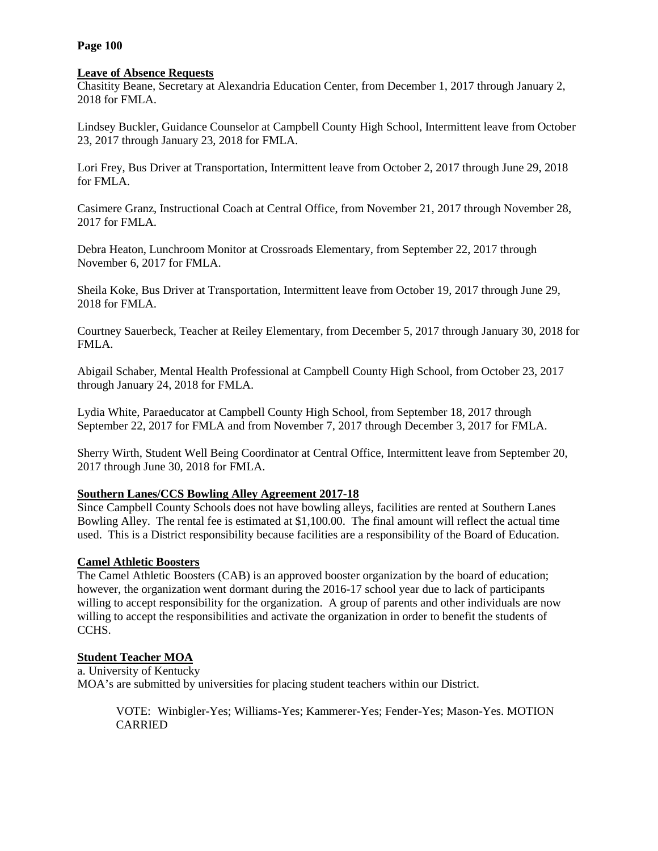### **Page 100**

### **Leave of Absence Requests**

Chasitity Beane, Secretary at Alexandria Education Center, from December 1, 2017 through January 2, 2018 for FMLA.

Lindsey Buckler, Guidance Counselor at Campbell County High School, Intermittent leave from October 23, 2017 through January 23, 2018 for FMLA.

Lori Frey, Bus Driver at Transportation, Intermittent leave from October 2, 2017 through June 29, 2018 for FMLA.

Casimere Granz, Instructional Coach at Central Office, from November 21, 2017 through November 28, 2017 for FMLA.

Debra Heaton, Lunchroom Monitor at Crossroads Elementary, from September 22, 2017 through November 6, 2017 for FMLA.

Sheila Koke, Bus Driver at Transportation, Intermittent leave from October 19, 2017 through June 29, 2018 for FMLA.

Courtney Sauerbeck, Teacher at Reiley Elementary, from December 5, 2017 through January 30, 2018 for FMLA.

Abigail Schaber, Mental Health Professional at Campbell County High School, from October 23, 2017 through January 24, 2018 for FMLA.

Lydia White, Paraeducator at Campbell County High School, from September 18, 2017 through September 22, 2017 for FMLA and from November 7, 2017 through December 3, 2017 for FMLA.

Sherry Wirth, Student Well Being Coordinator at Central Office, Intermittent leave from September 20, 2017 through June 30, 2018 for FMLA.

# **Southern Lanes/CCS Bowling Alley Agreement 2017-18**

Since Campbell County Schools does not have bowling alleys, facilities are rented at Southern Lanes Bowling Alley. The rental fee is estimated at \$1,100.00. The final amount will reflect the actual time used. This is a District responsibility because facilities are a responsibility of the Board of Education.

# **Camel Athletic Boosters**

The Camel Athletic Boosters (CAB) is an approved booster organization by the board of education; however, the organization went dormant during the 2016-17 school year due to lack of participants willing to accept responsibility for the organization. A group of parents and other individuals are now willing to accept the responsibilities and activate the organization in order to benefit the students of CCHS.

# **Student Teacher MOA**

a. University of Kentucky MOA's are submitted by universities for placing student teachers within our District.

VOTE: Winbigler-Yes; Williams-Yes; Kammerer-Yes; Fender-Yes; Mason-Yes. MOTION CARRIED